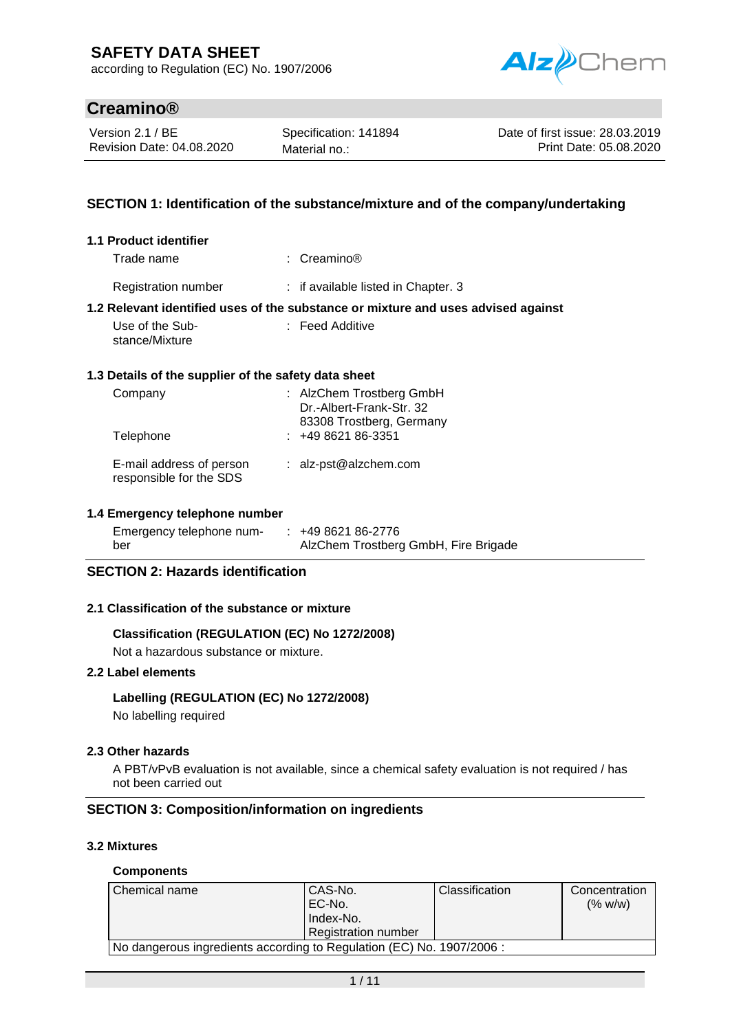according to Regulation (EC) No. 1907/2006



# **Creamino®**

Version 2.1 / BE Revision Date: 04.08.2020

Specification: 141894 Material no.:

Date of first issue: 28.03.2019 Print Date: 05.08.2020

# **SECTION 1: Identification of the substance/mixture and of the company/undertaking**

| 1.1 Product identifier                                        |                                                                                   |
|---------------------------------------------------------------|-----------------------------------------------------------------------------------|
| Trade name                                                    | : $C$ reamino®                                                                    |
| Registration number                                           | : if available listed in Chapter. 3                                               |
|                                                               | 1.2 Relevant identified uses of the substance or mixture and uses advised against |
| Use of the Sub-<br>stance/Mixture                             | $\therefore$ Feed Additive                                                        |
| 1.3 Details of the supplier of the safety data sheet          |                                                                                   |
| Company                                                       | : AlzChem Trostberg GmbH<br>Dr.-Albert-Frank-Str. 32<br>83308 Trostberg, Germany  |
| Telephone                                                     | $: +49862186-3351$                                                                |
| E-mail address of person<br>responsible for the SDS           | : $alz-pst@alzchem.com$                                                           |
| 1.4 Emergency telephone number                                |                                                                                   |
| Emergency telephone num- $\therefore$ +49 8621 86-2776<br>ber | AlzChem Trostberg GmbH, Fire Brigade                                              |
| <b>SECTION 2: Hazards identification</b>                      |                                                                                   |

### **2.1 Classification of the substance or mixture**

### **Classification (REGULATION (EC) No 1272/2008)**

Not a hazardous substance or mixture.

### **2.2 Label elements**

### **Labelling (REGULATION (EC) No 1272/2008)**

No labelling required

### **2.3 Other hazards**

A PBT/vPvB evaluation is not available, since a chemical safety evaluation is not required / has not been carried out

### **SECTION 3: Composition/information on ingredients**

### **3.2 Mixtures**

#### **Components**

| Chemical name                                                         | CAS-No.<br>EC-No.<br>Index-No.<br>Registration number | <b>Classification</b> | Concentration<br>(% w/w) |
|-----------------------------------------------------------------------|-------------------------------------------------------|-----------------------|--------------------------|
| No dangerous ingredients according to Regulation (EC) No. 1907/2006 : |                                                       |                       |                          |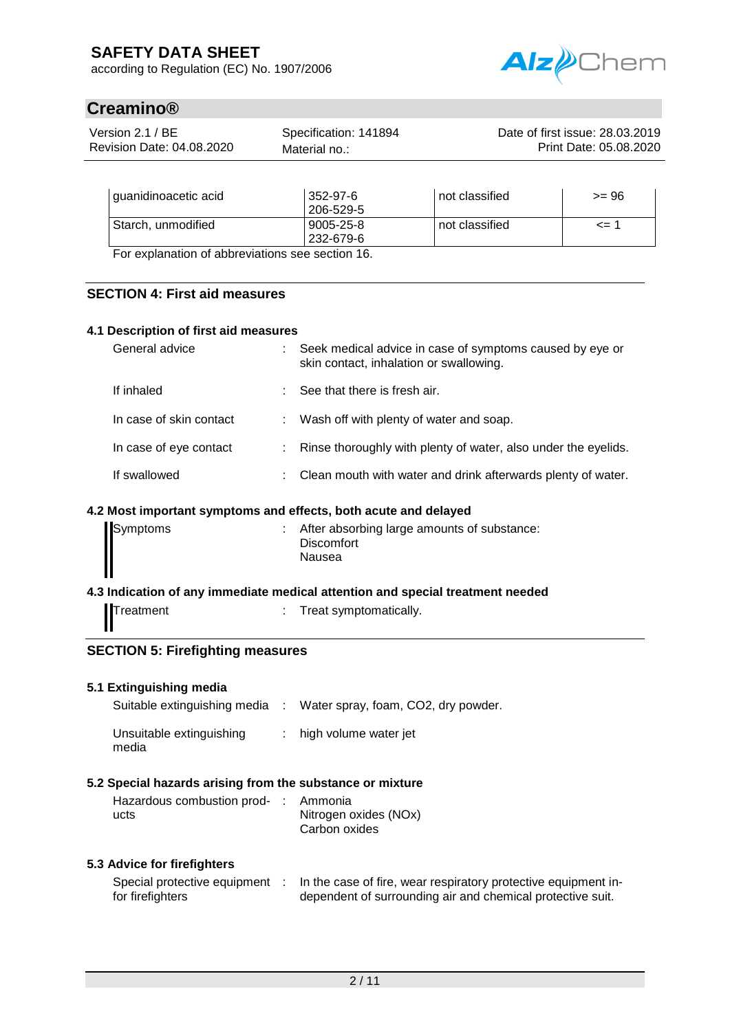according to Regulation (EC) No. 1907/2006



# **Creamino®**

| Version 2.1 / BE          | Specification: 141894 | Date of first issue: 28.03.2019 |
|---------------------------|-----------------------|---------------------------------|
| Revision Date: 04.08.2020 | Material no.:         | Print Date: 05.08.2020          |
|                           |                       |                                 |

| quanidinoacetic acid                            | 352-97-6<br>206-529-5  | not classified | $>= 96$  |
|-------------------------------------------------|------------------------|----------------|----------|
| Starch, unmodified                              | 9005-25-8<br>232-679-6 | not classified | $\leq$ 1 |
| Ear evalenction of abbreviations ago soction 16 |                        |                |          |

For explanation of abbreviations see section 16.

### **SECTION 4: First aid measures**

### **4.1 Description of first aid measures**

| General advice          | : Seek medical advice in case of symptoms caused by eye or<br>skin contact, inhalation or swallowing. |
|-------------------------|-------------------------------------------------------------------------------------------------------|
| If inhaled              | $\therefore$ See that there is fresh air.                                                             |
| In case of skin contact | : Wash off with plenty of water and soap.                                                             |
| In case of eye contact  | : Rinse thoroughly with plenty of water, also under the eyelids.                                      |
| If swallowed            | : Clean mouth with water and drink afterwards plenty of water.                                        |

### **4.2 Most important symptoms and effects, both acute and delayed**

| Symptoms | : After absorbing large amounts of substance:<br><b>Discomfort</b> |
|----------|--------------------------------------------------------------------|
|          | Nausea                                                             |

#### **4.3 Indication of any immediate medical attention and special treatment needed**

Treatment : Treat symptomatically.

# **SECTION 5: Firefighting measures**

### **5.1 Extinguishing media**

media

| Suitable extinguishing media | Water spray, foam, CO2, dry powder. |
|------------------------------|-------------------------------------|
| Unsuitable extinguishing     | : high volume water jet             |

# **5.2 Special hazards arising from the substance or mixture**

| Hazardous combustion prod- : Ammonia |                       |
|--------------------------------------|-----------------------|
| ucts                                 | Nitrogen oxides (NOx) |
|                                      | Carbon oxides         |

#### **5.3 Advice for firefighters**

| Special protective equipment | In the case of fire, wear respiratory protective equipment in- |
|------------------------------|----------------------------------------------------------------|
| for firefighters             | dependent of surrounding air and chemical protective suit.     |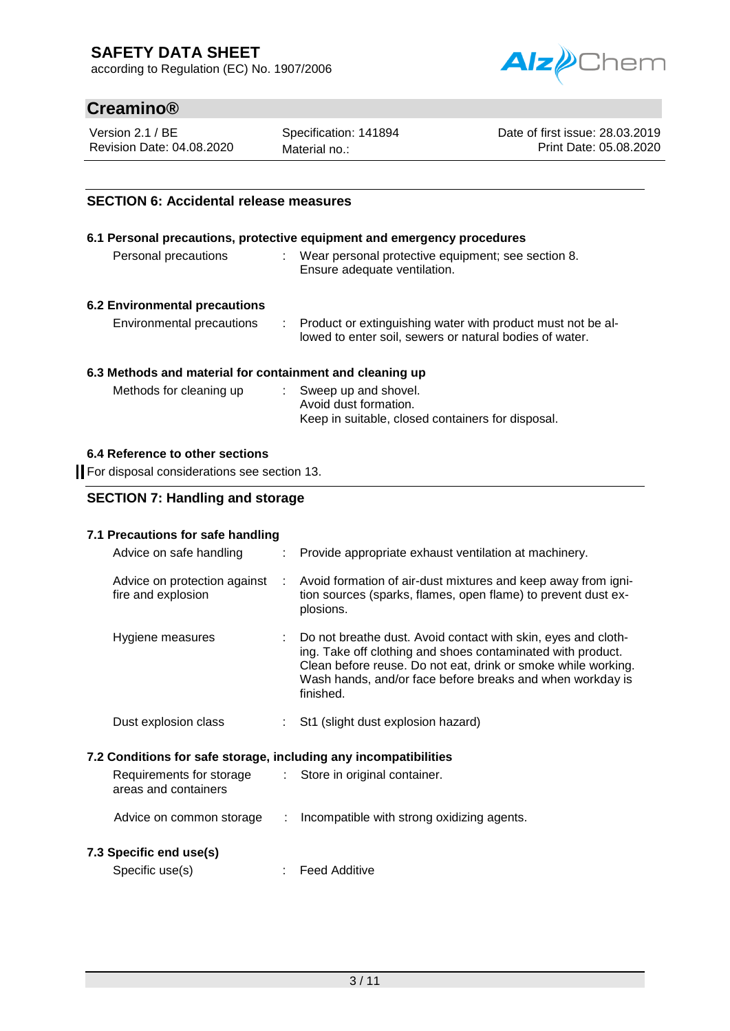according to Regulation (EC) No. 1907/2006



# **Creamino®**

Version 2.1 / BE Revision Date: 04.08.2020 Specification: 141894 Material no.:

Date of first issue: 28.03.2019 Print Date: 05.08.2020

# **SECTION 6: Accidental release measures**

|                               | 6.1 Personal precautions, protective equipment and emergency procedures                                                  |
|-------------------------------|--------------------------------------------------------------------------------------------------------------------------|
| Personal precautions          | Wear personal protective equipment; see section 8.<br>Ensure adequate ventilation.                                       |
| 6.2 Environmental precautions |                                                                                                                          |
| Environmental precautions     | : Product or extinguishing water with product must not be al-<br>lowed to enter soil, sewers or natural bodies of water. |

### **6.3 Methods and material for containment and cleaning up**

| Methods for cleaning up | : Sweep up and shovel.                            |
|-------------------------|---------------------------------------------------|
|                         | Avoid dust formation.                             |
|                         | Keep in suitable, closed containers for disposal. |

## **6.4 Reference to other sections**

For disposal considerations see section 13.

# **SECTION 7: Handling and storage**

# **7.1 Precautions for safe handling**

| Advice on safe handling                                          |    | : Provide appropriate exhaust ventilation at machinery.                                                                                                                                                                                                                   |
|------------------------------------------------------------------|----|---------------------------------------------------------------------------------------------------------------------------------------------------------------------------------------------------------------------------------------------------------------------------|
| Advice on protection against<br>fire and explosion               | ÷  | Avoid formation of air-dust mixtures and keep away from igni-<br>tion sources (sparks, flames, open flame) to prevent dust ex-<br>plosions.                                                                                                                               |
| Hygiene measures                                                 |    | : Do not breathe dust. Avoid contact with skin, eyes and cloth-<br>ing. Take off clothing and shoes contaminated with product.<br>Clean before reuse. Do not eat, drink or smoke while working.<br>Wash hands, and/or face before breaks and when workday is<br>finished. |
| Dust explosion class                                             |    | : St1 (slight dust explosion hazard)                                                                                                                                                                                                                                      |
| 7.2 Conditions for safe storage, including any incompatibilities |    |                                                                                                                                                                                                                                                                           |
| Requirements for storage<br>areas and containers                 |    | : Store in original container.                                                                                                                                                                                                                                            |
| Advice on common storage                                         | ÷. | Incompatible with strong oxidizing agents.                                                                                                                                                                                                                                |
| 7.3 Specific end use(s)                                          |    |                                                                                                                                                                                                                                                                           |
|                                                                  |    |                                                                                                                                                                                                                                                                           |

| Specific use(s) |  | <b>Feed Additive</b> |
|-----------------|--|----------------------|
|-----------------|--|----------------------|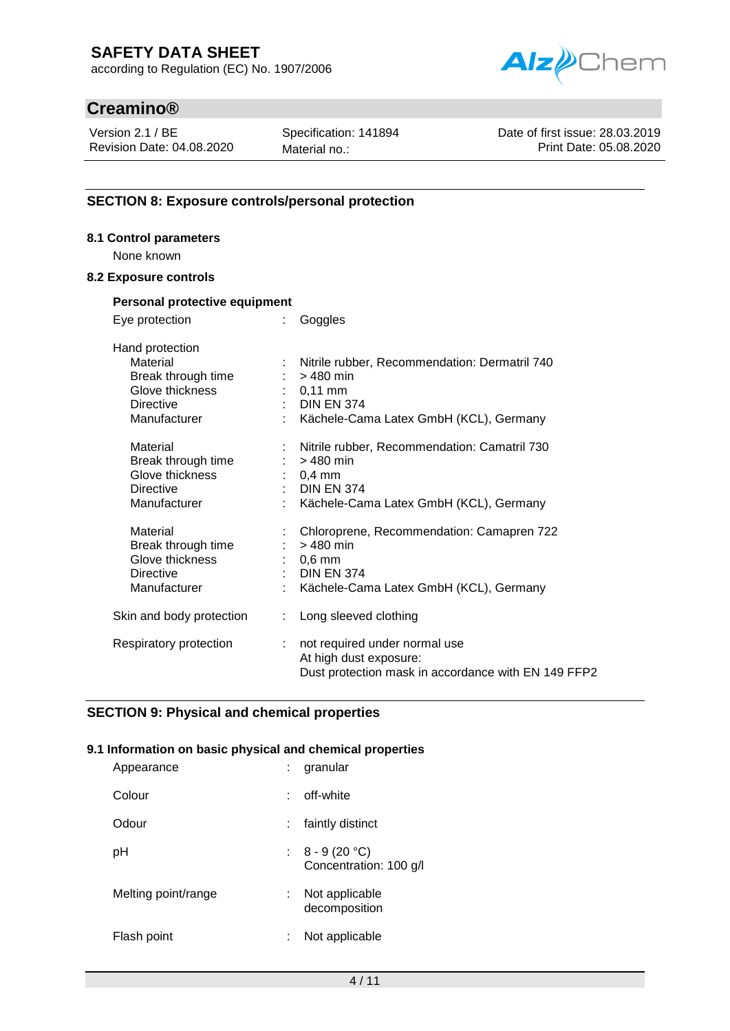according to Regulation (EC) No. 1907/2006



# **Creamino®**

Version 2.1 / BE Revision Date: 04.08.2020 Specification: 141894 Material no.:

Date of first issue: 28.03.2019 Print Date: 05.08.2020

# **SECTION 8: Exposure controls/personal protection**

# **8.1 Control parameters** None known

# **8.2 Exposure controls**

| Personal protective equipment                                                                            |                                                                                                                                           |
|----------------------------------------------------------------------------------------------------------|-------------------------------------------------------------------------------------------------------------------------------------------|
| Eye protection<br>÷                                                                                      | Goggles                                                                                                                                   |
| Hand protection<br>Material<br>Break through time<br>Glove thickness<br><b>Directive</b><br>Manufacturer | Nitrile rubber, Recommendation: Dermatril 740<br>$>480$ min<br>$: 0,11$ mm<br><b>DIN EN 374</b><br>Kächele-Cama Latex GmbH (KCL), Germany |
| Material<br>Break through time<br>Glove thickness<br><b>Directive</b><br>Manufacturer                    | Nitrile rubber, Recommendation: Camatril 730<br>$>480$ min<br>$: 0,4$ mm<br>: DIN EN 374<br>Kächele-Cama Latex GmbH (KCL), Germany        |
| Material<br>Break through time<br>Glove thickness<br><b>Directive</b><br>Manufacturer                    | Chloroprene, Recommendation: Camapren 722<br>$>480$ min<br>$: 0.6$ mm<br>: DIN EN 374<br>Kächele-Cama Latex GmbH (KCL), Germany           |
| Skin and body protection<br>t.                                                                           | Long sleeved clothing                                                                                                                     |
| Respiratory protection<br>÷.                                                                             | not required under normal use<br>At high dust exposure:<br>Dust protection mask in accordance with EN 149 FFP2                            |

# **SECTION 9: Physical and chemical properties**

### **9.1 Information on basic physical and chemical properties**

| Appearance          | granular<br>t.                             |
|---------------------|--------------------------------------------|
| Colour              | off-white                                  |
| Odour               | faintly distinct                           |
| рH                  | : $8 - 9(20 °C)$<br>Concentration: 100 g/l |
| Melting point/range | : Not applicable<br>decomposition          |
| Flash point         | Not applicable<br>t                        |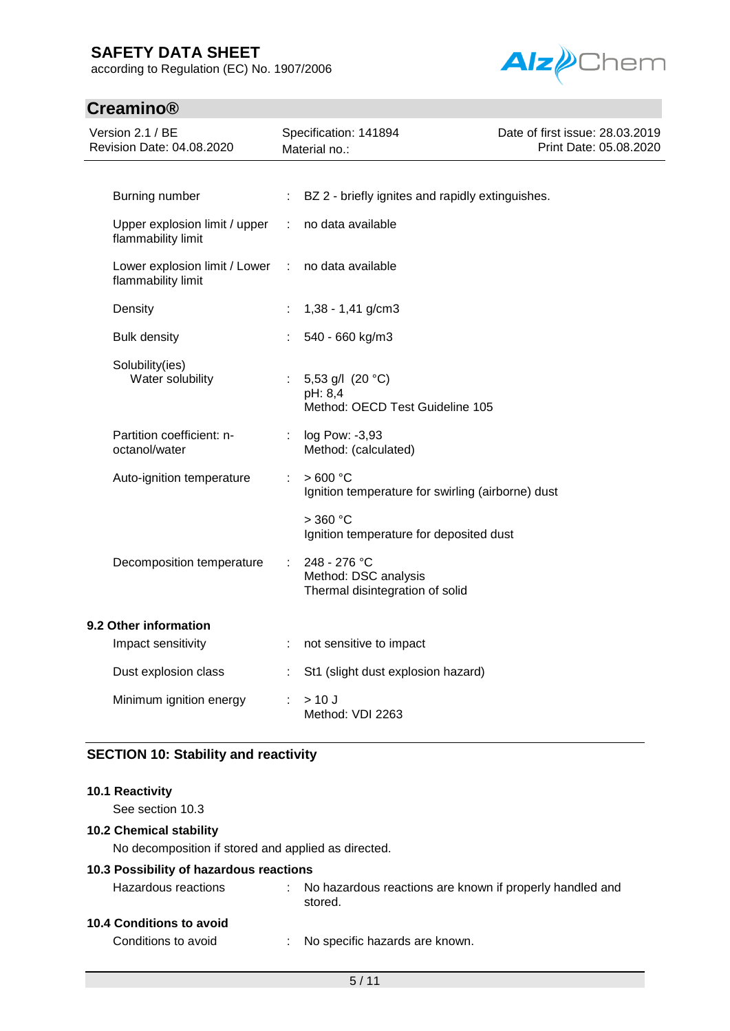according to Regulation (EC) No. 1907/2006



# **Creamino®**

| Version 2.1 / BE<br>Revision Date: 04.08.2020         | Specification: 141894<br>Material no.: |                                                                         | Date of first issue: 28.03.2019<br>Print Date: 05.08.2020 |
|-------------------------------------------------------|----------------------------------------|-------------------------------------------------------------------------|-----------------------------------------------------------|
| Burning number                                        | ÷                                      | BZ 2 - briefly ignites and rapidly extinguishes.                        |                                                           |
| Upper explosion limit / upper<br>flammability limit   | ÷                                      | no data available                                                       |                                                           |
| Lower explosion limit / Lower :<br>flammability limit |                                        | no data available                                                       |                                                           |
| Density                                               |                                        | $1,38 - 1,41$ g/cm3                                                     |                                                           |
| <b>Bulk density</b>                                   |                                        | 540 - 660 kg/m3                                                         |                                                           |
| Solubility(ies)<br>Water solubility                   |                                        | 5,53 g/l $(20 °C)$<br>pH: 8,4<br>Method: OECD Test Guideline 105        |                                                           |
| Partition coefficient: n-<br>octanol/water            |                                        | log Pow: -3,93<br>Method: (calculated)                                  |                                                           |
| Auto-ignition temperature                             | t                                      | >600 °C<br>Ignition temperature for swirling (airborne) dust            |                                                           |
|                                                       |                                        | $>$ 360 °C<br>Ignition temperature for deposited dust                   |                                                           |
| Decomposition temperature                             |                                        | 248 - 276 °C<br>Method: DSC analysis<br>Thermal disintegration of solid |                                                           |
| 9.2 Other information                                 |                                        |                                                                         |                                                           |
| Impact sensitivity                                    |                                        | not sensitive to impact                                                 |                                                           |
| Dust explosion class                                  |                                        | St1 (slight dust explosion hazard)                                      |                                                           |
| Minimum ignition energy                               |                                        | >10J<br>Method: VDI 2263                                                |                                                           |

# **SECTION 10: Stability and reactivity**

#### **10.1 Reactivity**

See section 10.3

### **10.2 Chemical stability**

No decomposition if stored and applied as directed.

### **10.3 Possibility of hazardous reactions**

| Hazardous reactions | : No hazardous reactions are known if properly handled and<br>stored. |
|---------------------|-----------------------------------------------------------------------|
|                     |                                                                       |

# **10.4 Conditions to avoid**

Conditions to avoid : No specific hazards are known.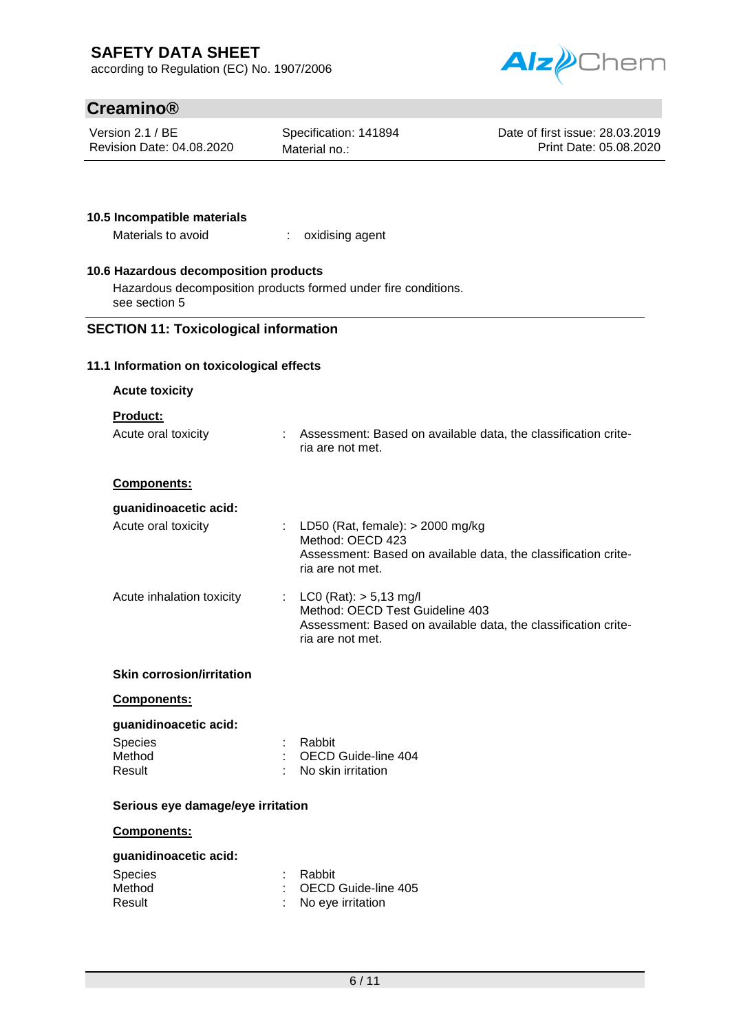according to Regulation (EC) No. 1907/2006



# **Creamino®**

Version 2.1 / BE Revision Date: 04.08.2020 Specification: 141894 Material no.:

Date of first issue: 28.03.2019 Print Date: 05.08.2020

### **10.5 Incompatible materials**

Materials to avoid : oxidising agent

### **10.6 Hazardous decomposition products**

Hazardous decomposition products formed under fire conditions. see section 5

# **SECTION 11: Toxicological information**

#### **11.1 Information on toxicological effects**

| <b>Acute toxicity</b>                                       |                                                                                                                                                     |  |  |  |
|-------------------------------------------------------------|-----------------------------------------------------------------------------------------------------------------------------------------------------|--|--|--|
| <b>Product:</b>                                             |                                                                                                                                                     |  |  |  |
| Acute oral toxicity                                         | : Assessment: Based on available data, the classification crite-<br>ria are not met.                                                                |  |  |  |
| Components:                                                 |                                                                                                                                                     |  |  |  |
| guanidinoacetic acid:                                       |                                                                                                                                                     |  |  |  |
| Acute oral toxicity                                         | : LD50 (Rat, female): $>$ 2000 mg/kg<br>Method: OECD 423<br>Assessment: Based on available data, the classification crite-<br>ria are not met.      |  |  |  |
| Acute inhalation toxicity                                   | : LC0 (Rat): $> 5,13$ mg/l<br>Method: OECD Test Guideline 403<br>Assessment: Based on available data, the classification crite-<br>ria are not met. |  |  |  |
| <b>Skin corrosion/irritation</b>                            |                                                                                                                                                     |  |  |  |
| Components:                                                 |                                                                                                                                                     |  |  |  |
| guanidinoacetic acid:                                       |                                                                                                                                                     |  |  |  |
| <b>Species</b><br>Method                                    | : Rabbit<br>: OECD Guide-line 404                                                                                                                   |  |  |  |
| Result                                                      | : No skin irritation                                                                                                                                |  |  |  |
| Serious eye damage/eye irritation                           |                                                                                                                                                     |  |  |  |
| Components:                                                 |                                                                                                                                                     |  |  |  |
| guanidinoacetic acid:<br><b>Species</b><br>Method<br>Result | Rabbit<br>OECD Guide-line 405<br>No eye irritation                                                                                                  |  |  |  |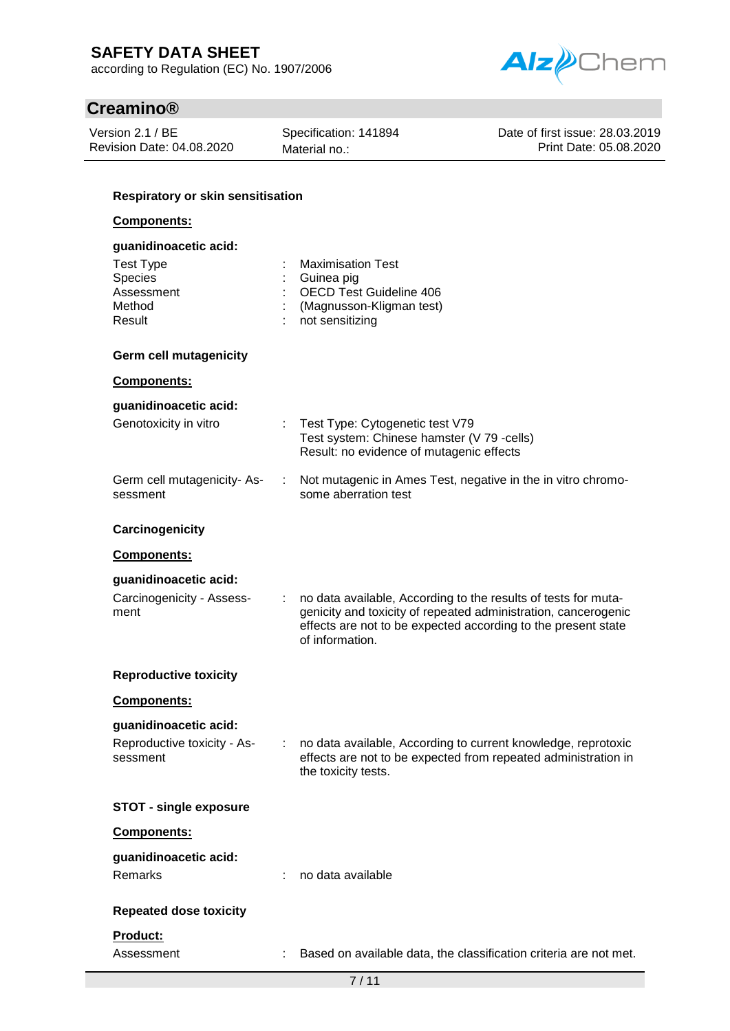according to Regulation (EC) No. 1907/2006



# **Creamino®**

Version 2.1 / BE Revision Date: 04.08.2020 Specification: 141894 Material no.:

Date of first issue: 28.03.2019 Print Date: 05.08.2020

# **Respiratory or skin sensitisation**

### **Components:**

| guanidinoacetic acid:                                            |                                                                                                                                                                                                                      |
|------------------------------------------------------------------|----------------------------------------------------------------------------------------------------------------------------------------------------------------------------------------------------------------------|
| <b>Test Type</b><br>Species<br>Assessment<br>Method<br>Result    | <b>Maximisation Test</b><br>Guinea pig<br><b>OECD Test Guideline 406</b><br>(Magnusson-Kligman test)<br>not sensitizing                                                                                              |
| <b>Germ cell mutagenicity</b>                                    |                                                                                                                                                                                                                      |
| Components:                                                      |                                                                                                                                                                                                                      |
| guanidinoacetic acid:<br>Genotoxicity in vitro                   | Test Type: Cytogenetic test V79<br>Test system: Chinese hamster (V 79 -cells)<br>Result: no evidence of mutagenic effects                                                                                            |
| Germ cell mutagenicity-As-<br>sessment                           | Not mutagenic in Ames Test, negative in the in vitro chromo-<br>some aberration test                                                                                                                                 |
| Carcinogenicity                                                  |                                                                                                                                                                                                                      |
| Components:                                                      |                                                                                                                                                                                                                      |
| guanidinoacetic acid:<br>Carcinogenicity - Assess-<br>ment       | no data available, According to the results of tests for muta-<br>genicity and toxicity of repeated administration, cancerogenic<br>effects are not to be expected according to the present state<br>of information. |
| <b>Reproductive toxicity</b>                                     |                                                                                                                                                                                                                      |
| Components:                                                      |                                                                                                                                                                                                                      |
| guanidinoacetic acid:<br>Reproductive toxicity - As-<br>sessment | no data available, According to current knowledge, reprotoxic<br>effects are not to be expected from repeated administration in<br>the toxicity tests.                                                               |
| <b>STOT - single exposure</b>                                    |                                                                                                                                                                                                                      |
| Components:                                                      |                                                                                                                                                                                                                      |
| guanidinoacetic acid:<br>Remarks                                 | no data available                                                                                                                                                                                                    |
| <b>Repeated dose toxicity</b>                                    |                                                                                                                                                                                                                      |
| Product:<br>Assessment                                           | Based on available data, the classification criteria are not met.                                                                                                                                                    |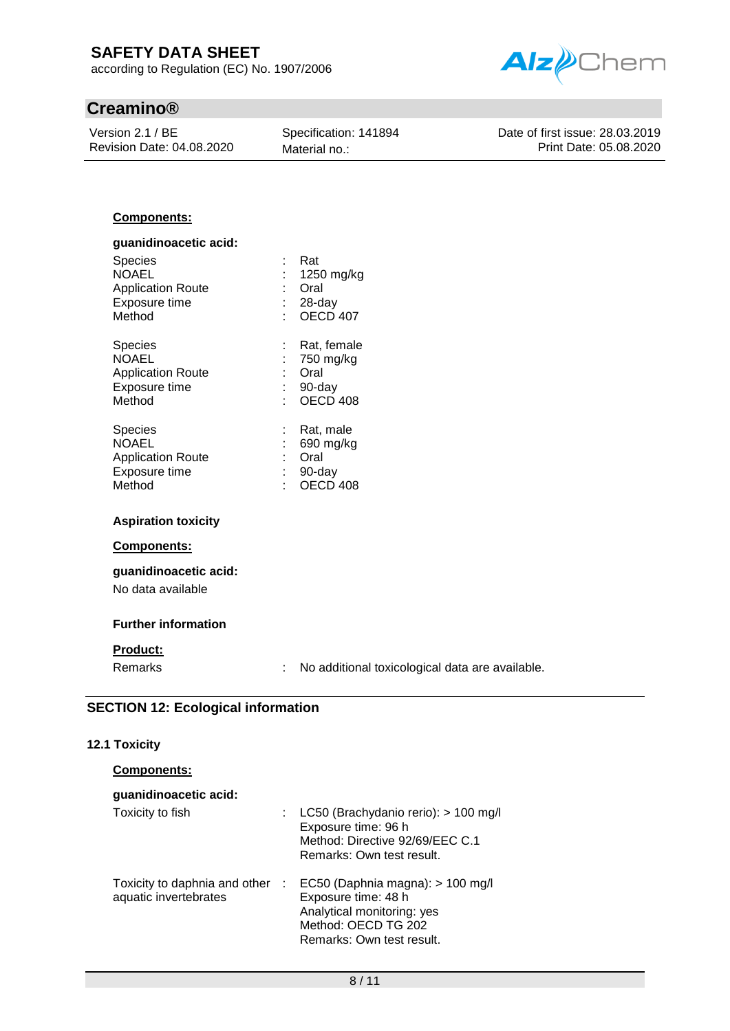according to Regulation (EC) No. 1907/2006

# **Creamino®**

Version 2.1 / BE Revision Date: 04.08.2020 Specification: 141894 Material no.:



Date of first issue: 28.03.2019 Print Date: 05.08.2020

### **Components:**

| guanidinoacetic acid:    |   |                     |
|--------------------------|---|---------------------|
| <b>Species</b>           |   | Rat                 |
| <b>NOAEL</b>             |   | 1250 mg/kg          |
| <b>Application Route</b> |   | Oral                |
| Exposure time            |   | 28-day              |
| Method                   |   | <b>OECD 407</b>     |
| <b>Species</b>           | ÷ | Rat, female         |
| <b>NOAEL</b>             |   | 750 mg/kg           |
| <b>Application Route</b> |   | Oral                |
| Exposure time            |   | 90-day              |
| Method                   |   | OECD <sub>408</sub> |
| <b>Species</b>           | ÷ | Rat, male           |
| <b>NOAEL</b>             |   | 690 mg/kg           |
| <b>Application Route</b> |   | Oral                |
| Exposure time            | t | 90-day              |
| Method                   |   | OECD 408            |

#### **Aspiration toxicity**

#### **Components:**

### **guanidinoacetic acid:** No data available

### **Further information**

### **Product:**

Remarks : No additional toxicological data are available.

# **SECTION 12: Ecological information**

#### **12.1 Toxicity**

| <b>Components:</b> |  |
|--------------------|--|
|                    |  |

| guanidinoacetic acid: |                                                                                                                                                                           |
|-----------------------|---------------------------------------------------------------------------------------------------------------------------------------------------------------------------|
| Toxicity to fish      | : LC50 (Brachydanio rerio): $> 100$ mg/l<br>Exposure time: 96 h<br>Method: Directive 92/69/EEC C.1<br>Remarks: Own test result.                                           |
| aquatic invertebrates | Toxicity to daphnia and other : EC50 (Daphnia magna): > 100 mg/l<br>Exposure time: 48 h<br>Analytical monitoring: yes<br>Method: OECD TG 202<br>Remarks: Own test result. |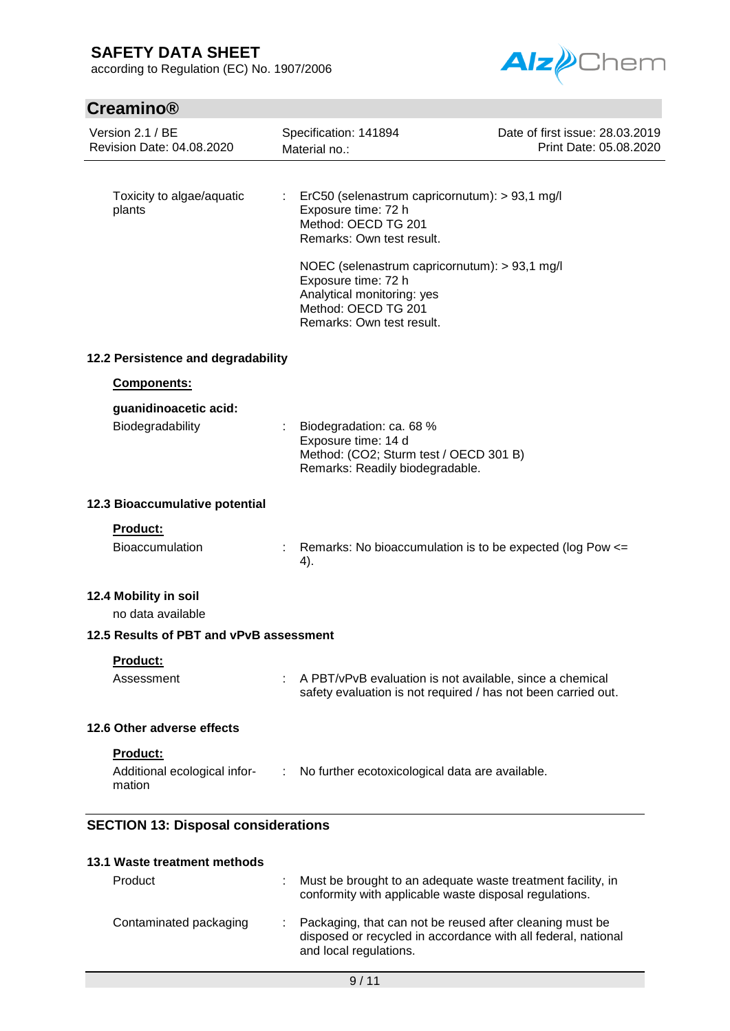according to Regulation (EC) No. 1907/2006



# **Creamino®**

| Version 2.1 / BE<br>Revision Date: 04.08.2020 | Specification: 141894<br>Material no.:                                                                                                                 | Date of first issue: 28.03.2019<br>Print Date: 05.08.2020     |
|-----------------------------------------------|--------------------------------------------------------------------------------------------------------------------------------------------------------|---------------------------------------------------------------|
|                                               |                                                                                                                                                        |                                                               |
| Toxicity to algae/aquatic<br>plants           | t<br>ErC50 (selenastrum capricornutum): > 93,1 mg/l<br>Exposure time: 72 h<br>Method: OECD TG 201<br>Remarks: Own test result.                         |                                                               |
|                                               | NOEC (selenastrum capricornutum): > 93,1 mg/l<br>Exposure time: 72 h<br>Analytical monitoring: yes<br>Method: OECD TG 201<br>Remarks: Own test result. |                                                               |
| 12.2 Persistence and degradability            |                                                                                                                                                        |                                                               |
| Components:                                   |                                                                                                                                                        |                                                               |
| guanidinoacetic acid:                         |                                                                                                                                                        |                                                               |
| Biodegradability                              | Biodegradation: ca. 68 %<br>Exposure time: 14 d<br>Method: (CO2; Sturm test / OECD 301 B)<br>Remarks: Readily biodegradable.                           |                                                               |
| 12.3 Bioaccumulative potential                |                                                                                                                                                        |                                                               |
| <b>Product:</b>                               |                                                                                                                                                        |                                                               |
| <b>Bioaccumulation</b>                        | ÷<br>4).                                                                                                                                               | Remarks: No bioaccumulation is to be expected (log Pow <=     |
| 12.4 Mobility in soil<br>no data available    |                                                                                                                                                        |                                                               |
| 12.5 Results of PBT and vPvB assessment       |                                                                                                                                                        |                                                               |
| <b>Product:</b><br>Assessment                 | A PBT/vPvB evaluation is not available, since a chemical                                                                                               | safety evaluation is not required / has not been carried out. |
| 12.6 Other adverse effects                    |                                                                                                                                                        |                                                               |
| Product:                                      |                                                                                                                                                        |                                                               |
| Additional ecological infor-<br>mation        | No further ecotoxicological data are available.                                                                                                        |                                                               |
| <b>SECTION 13: Disposal considerations</b>    |                                                                                                                                                        |                                                               |
| 13.1 Waste treatment methods                  |                                                                                                                                                        |                                                               |
| Product                                       | Must be brought to an adequate waste treatment facility, in<br>conformity with applicable waste disposal regulations.                                  |                                                               |

| Contaminated packaging | : Packaging, that can not be reused after cleaning must be<br>disposed or recycled in accordance with all federal, national<br>and local regulations. |
|------------------------|-------------------------------------------------------------------------------------------------------------------------------------------------------|
|                        |                                                                                                                                                       |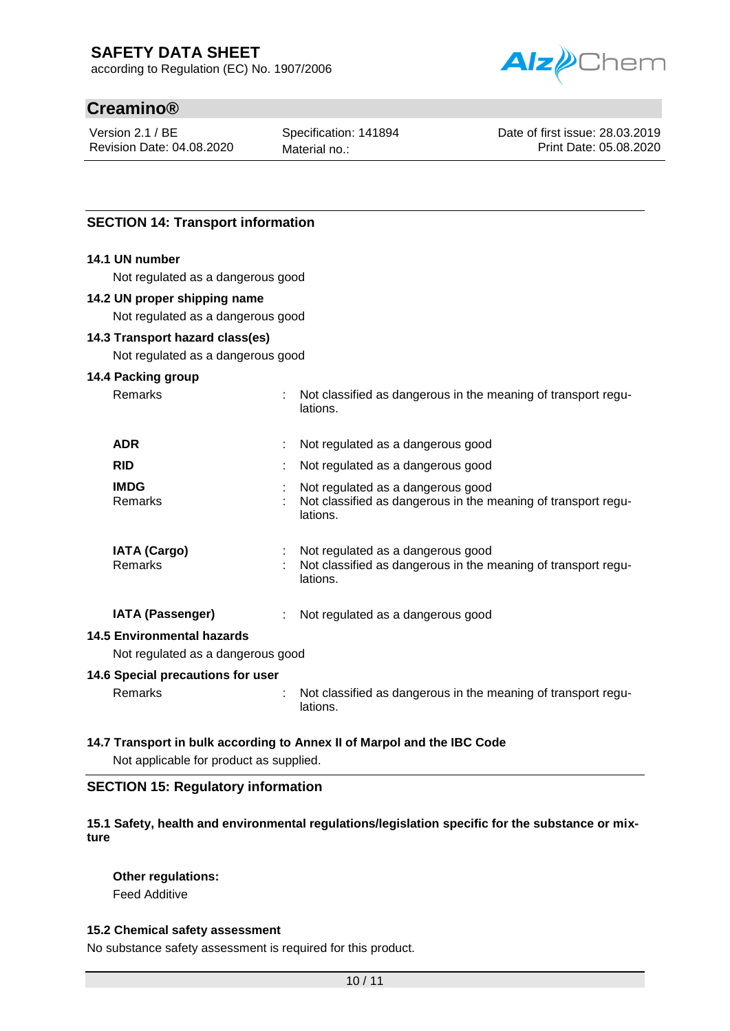according to Regulation (EC) No. 1907/2006



# **Creamino®**

Version 2.1 / BE Revision Date: 04.08.2020 Specification: 141894 Material no.:

Date of first issue: 28.03.2019 Print Date: 05.08.2020

# **SECTION 14: Transport information**

### **14.1 UN number**

Not regulated as a dangerous good

#### **14.2 UN proper shipping name**

Not regulated as a dangerous good

### **14.3 Transport hazard class(es)**

Not regulated as a dangerous good

#### **14.4 Packing group**

| <b>Remarks</b>                 | : Not classified as dangerous in the meaning of transport regu-<br>lations.                                    |
|--------------------------------|----------------------------------------------------------------------------------------------------------------|
| <b>ADR</b>                     | Not regulated as a dangerous good                                                                              |
| <b>RID</b>                     | Not regulated as a dangerous good                                                                              |
| <b>IMDG</b><br><b>Remarks</b>  | Not regulated as a dangerous good<br>Not classified as dangerous in the meaning of transport regu-<br>lations. |
| <b>IATA (Cargo)</b><br>Remarks | Not regulated as a dangerous good<br>Not classified as dangerous in the meaning of transport regu-<br>lations. |
| <b>IATA (Passenger)</b>        | Not regulated as a dangerous good                                                                              |

#### **14.5 Environmental hazards**

Not regulated as a dangerous good

### **14.6 Special precautions for user**

Remarks : Not classified as dangerous in the meaning of transport regulations.

### **14.7 Transport in bulk according to Annex II of Marpol and the IBC Code**

Not applicable for product as supplied.

### **SECTION 15: Regulatory information**

### **15.1 Safety, health and environmental regulations/legislation specific for the substance or mixture**

### **Other regulations:**

Feed Additive

### **15.2 Chemical safety assessment**

No substance safety assessment is required for this product.